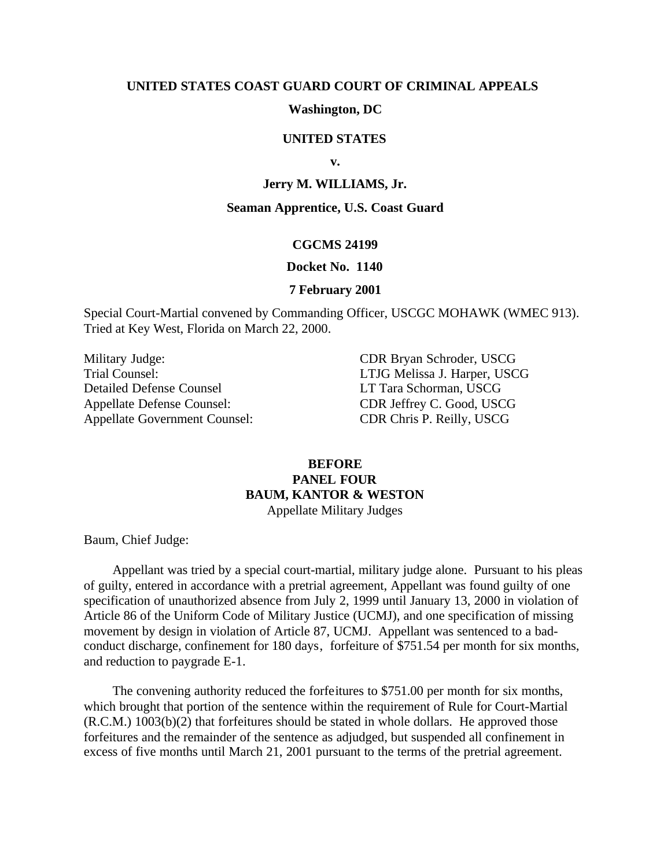### **UNITED STATES COAST GUARD COURT OF CRIMINAL APPEALS**

# **Washington, DC**

# **UNITED STATES**

**v.**

# **Jerry M. WILLIAMS, Jr.**

#### **Seaman Apprentice, U.S. Coast Guard**

### **CGCMS 24199**

#### **Docket No. 1140**

## **7 February 2001**

Special Court-Martial convened by Commanding Officer, USCGC MOHAWK (WMEC 913). Tried at Key West, Florida on March 22, 2000.

Military Judge: CDR Bryan Schroder, USCG Trial Counsel: LTJG Melissa J. Harper, USCG Detailed Defense Counsel LT Tara Schorman, USCG Appellate Defense Counsel: CDR Jeffrey C. Good, USCG Appellate Government Counsel: CDR Chris P. Reilly, USCG

# **BEFORE PANEL FOUR BAUM, KANTOR & WESTON** Appellate Military Judges

Baum, Chief Judge:

Appellant was tried by a special court-martial, military judge alone. Pursuant to his pleas of guilty, entered in accordance with a pretrial agreement, Appellant was found guilty of one specification of unauthorized absence from July 2, 1999 until January 13, 2000 in violation of Article 86 of the Uniform Code of Military Justice (UCMJ), and one specification of missing movement by design in violation of Article 87, UCMJ. Appellant was sentenced to a badconduct discharge, confinement for 180 days, forfeiture of \$751.54 per month for six months, and reduction to paygrade E-1.

The convening authority reduced the forfeitures to \$751.00 per month for six months, which brought that portion of the sentence within the requirement of Rule for Court-Martial (R.C.M.) 1003(b)(2) that forfeitures should be stated in whole dollars. He approved those forfeitures and the remainder of the sentence as adjudged, but suspended all confinement in excess of five months until March 21, 2001 pursuant to the terms of the pretrial agreement.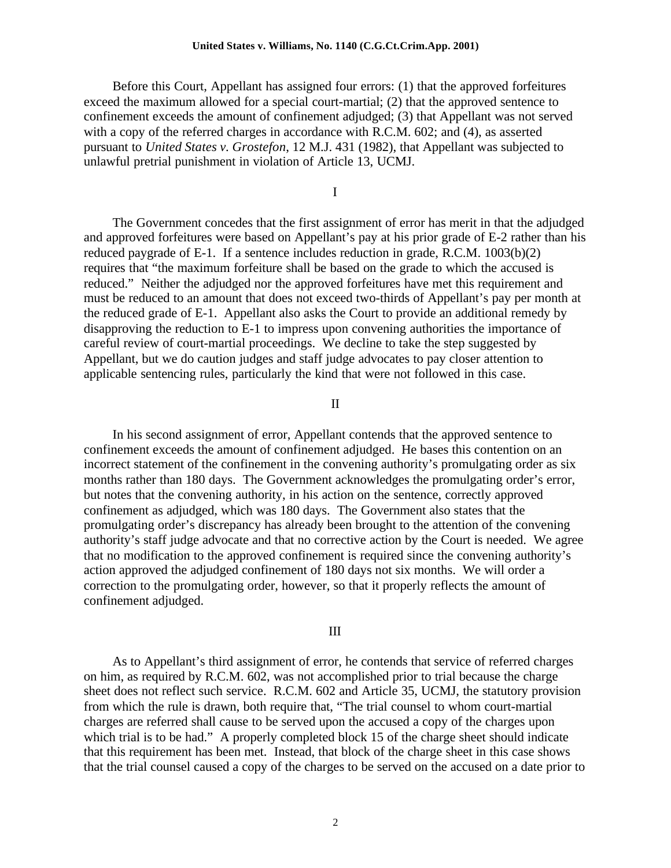#### **United States v. Williams, No. 1140 (C.G.Ct.Crim.App. 2001)**

Before this Court, Appellant has assigned four errors: (1) that the approved forfeitures exceed the maximum allowed for a special court-martial; (2) that the approved sentence to confinement exceeds the amount of confinement adjudged; (3) that Appellant was not served with a copy of the referred charges in accordance with R.C.M. 602; and (4), as asserted pursuant to *United States v. Grostefon*, 12 M.J. 431 (1982), that Appellant was subjected to unlawful pretrial punishment in violation of Article 13, UCMJ.

I

The Government concedes that the first assignment of error has merit in that the adjudged and approved forfeitures were based on Appellant's pay at his prior grade of E-2 rather than his reduced paygrade of E-1. If a sentence includes reduction in grade, R.C.M. 1003(b)(2) requires that "the maximum forfeiture shall be based on the grade to which the accused is reduced." Neither the adjudged nor the approved forfeitures have met this requirement and must be reduced to an amount that does not exceed two-thirds of Appellant's pay per month at the reduced grade of E-1. Appellant also asks the Court to provide an additional remedy by disapproving the reduction to E-1 to impress upon convening authorities the importance of careful review of court-martial proceedings. We decline to take the step suggested by Appellant, but we do caution judges and staff judge advocates to pay closer attention to applicable sentencing rules, particularly the kind that were not followed in this case.

### II

In his second assignment of error, Appellant contends that the approved sentence to confinement exceeds the amount of confinement adjudged. He bases this contention on an incorrect statement of the confinement in the convening authority's promulgating order as six months rather than 180 days. The Government acknowledges the promulgating order's error, but notes that the convening authority, in his action on the sentence, correctly approved confinement as adjudged, which was 180 days. The Government also states that the promulgating order's discrepancy has already been brought to the attention of the convening authority's staff judge advocate and that no corrective action by the Court is needed. We agree that no modification to the approved confinement is required since the convening authority's action approved the adjudged confinement of 180 days not six months. We will order a correction to the promulgating order, however, so that it properly reflects the amount of confinement adjudged.

#### III

As to Appellant's third assignment of error, he contends that service of referred charges on him, as required by R.C.M. 602, was not accomplished prior to trial because the charge sheet does not reflect such service. R.C.M. 602 and Article 35, UCMJ, the statutory provision from which the rule is drawn, both require that, "The trial counsel to whom court-martial charges are referred shall cause to be served upon the accused a copy of the charges upon which trial is to be had." A properly completed block 15 of the charge sheet should indicate that this requirement has been met. Instead, that block of the charge sheet in this case shows that the trial counsel caused a copy of the charges to be served on the accused on a date prior to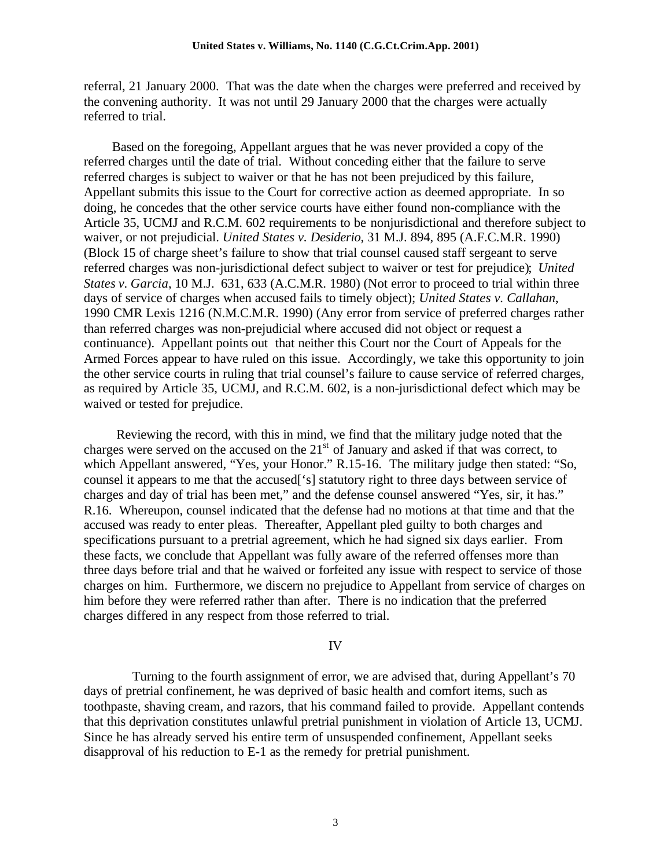referral, 21 January 2000. That was the date when the charges were preferred and received by the convening authority. It was not until 29 January 2000 that the charges were actually referred to trial.

 Based on the foregoing, Appellant argues that he was never provided a copy of the referred charges until the date of trial. Without conceding either that the failure to serve referred charges is subject to waiver or that he has not been prejudiced by this failure, Appellant submits this issue to the Court for corrective action as deemed appropriate. In so doing, he concedes that the other service courts have either found non-compliance with the Article 35, UCMJ and R.C.M. 602 requirements to be nonjurisdictional and therefore subject to waiver, or not prejudicial. *United States v. Desiderio*, 31 M.J. 894, 895 (A.F.C.M.R. 1990) (Block 15 of charge sheet's failure to show that trial counsel caused staff sergeant to serve referred charges was non-jurisdictional defect subject to waiver or test for prejudice); *United States v. Garcia*, 10 M.J. 631, 633 (A.C.M.R. 1980) (Not error to proceed to trial within three days of service of charges when accused fails to timely object); *United States v. Callahan*, 1990 CMR Lexis 1216 (N.M.C.M.R. 1990) (Any error from service of preferred charges rather than referred charges was non-prejudicial where accused did not object or request a continuance). Appellant points out that neither this Court nor the Court of Appeals for the Armed Forces appear to have ruled on this issue. Accordingly, we take this opportunity to join the other service courts in ruling that trial counsel's failure to cause service of referred charges, as required by Article 35, UCMJ, and R.C.M. 602, is a non-jurisdictional defect which may be waived or tested for prejudice.

 Reviewing the record, with this in mind, we find that the military judge noted that the charges were served on the accused on the  $21<sup>st</sup>$  of January and asked if that was correct, to which Appellant answered, "Yes, your Honor." R.15-16. The military judge then stated: "So, counsel it appears to me that the accused['s] statutory right to three days between service of charges and day of trial has been met," and the defense counsel answered "Yes, sir, it has." R.16. Whereupon, counsel indicated that the defense had no motions at that time and that the accused was ready to enter pleas. Thereafter, Appellant pled guilty to both charges and specifications pursuant to a pretrial agreement, which he had signed six days earlier. From these facts, we conclude that Appellant was fully aware of the referred offenses more than three days before trial and that he waived or forfeited any issue with respect to service of those charges on him. Furthermore, we discern no prejudice to Appellant from service of charges on him before they were referred rather than after. There is no indication that the preferred charges differed in any respect from those referred to trial.

# IV

 Turning to the fourth assignment of error, we are advised that, during Appellant's 70 days of pretrial confinement, he was deprived of basic health and comfort items, such as toothpaste, shaving cream, and razors, that his command failed to provide. Appellant contends that this deprivation constitutes unlawful pretrial punishment in violation of Article 13, UCMJ. Since he has already served his entire term of unsuspended confinement, Appellant seeks disapproval of his reduction to E-1 as the remedy for pretrial punishment.